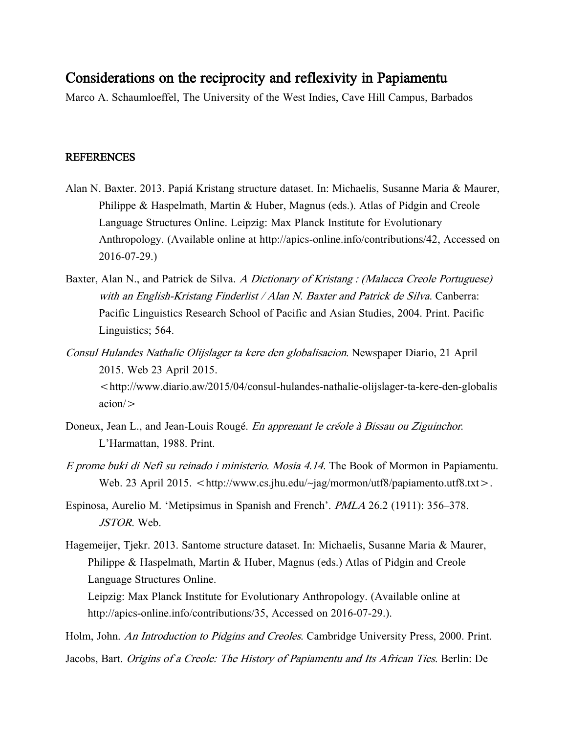## Considerations on the reciprocity and reflexivity in Papiamentu

Marco A. Schaumloeffel, The University of the West Indies, Cave Hill Campus, Barbados

## REFERENCES

- Alan N. Baxter. 2013. Papiá Kristang structure dataset. In: Michaelis, Susanne Maria & Maurer, Philippe & Haspelmath, Martin & Huber, Magnus (eds.). Atlas of Pidgin and Creole Language Structures Online. Leipzig: Max Planck Institute for Evolutionary Anthropology. (Available online at http://apics-online.info/contributions/42, Accessed on 2016-07-29.)
- Baxter, Alan N., and Patrick de Silva. A Dictionary of Kristang : (Malacca Creole Portuguese) with an English-Kristang Finderlist / Alan N. Baxter and Patrick de Silva. Canberra: Pacific Linguistics Research School of Pacific and Asian Studies, 2004. Print. Pacific Linguistics; 564.
- Consul Hulandes Nathalie Olijslager ta kere den globalisacion. Newspaper Diario, 21 April 2015. Web 23 April 2015.

<http://www.diario.aw/2015/04/consul-hulandes-nathalie-olijslager-ta-kere-den-globalis acion/>

- Doneux, Jean L., and Jean-Louis Rougé. En apprenant le créole à Bissau ou Ziguinchor. L'Harmattan, 1988. Print.
- E prome buki di Nefi su reinado i ministerio. Mosia 4.14. The Book of Mormon in Papiamentu. Web. 23 April 2015. <http://www.cs.jhu.edu/~jag/mormon/utf8/papiamento.utf8.txt>.
- Espinosa, Aurelio M. 'Metipsimus in Spanish and French'. PMLA 26.2 (1911): 356–378. JSTOR. Web.
- Hagemeijer, Tjekr. 2013. Santome structure dataset. In: Michaelis, Susanne Maria & Maurer, Philippe & Haspelmath, Martin & Huber, Magnus (eds.) Atlas of Pidgin and Creole Language Structures Online.

Leipzig: Max Planck Institute for Evolutionary Anthropology. (Available online at http://apics-online.info/contributions/35, Accessed on 2016-07-29.).

Holm, John. An Introduction to Pidgins and Creoles. Cambridge University Press, 2000. Print.

Jacobs, Bart. Origins of a Creole: The History of Papiamentu and Its African Ties. Berlin: De